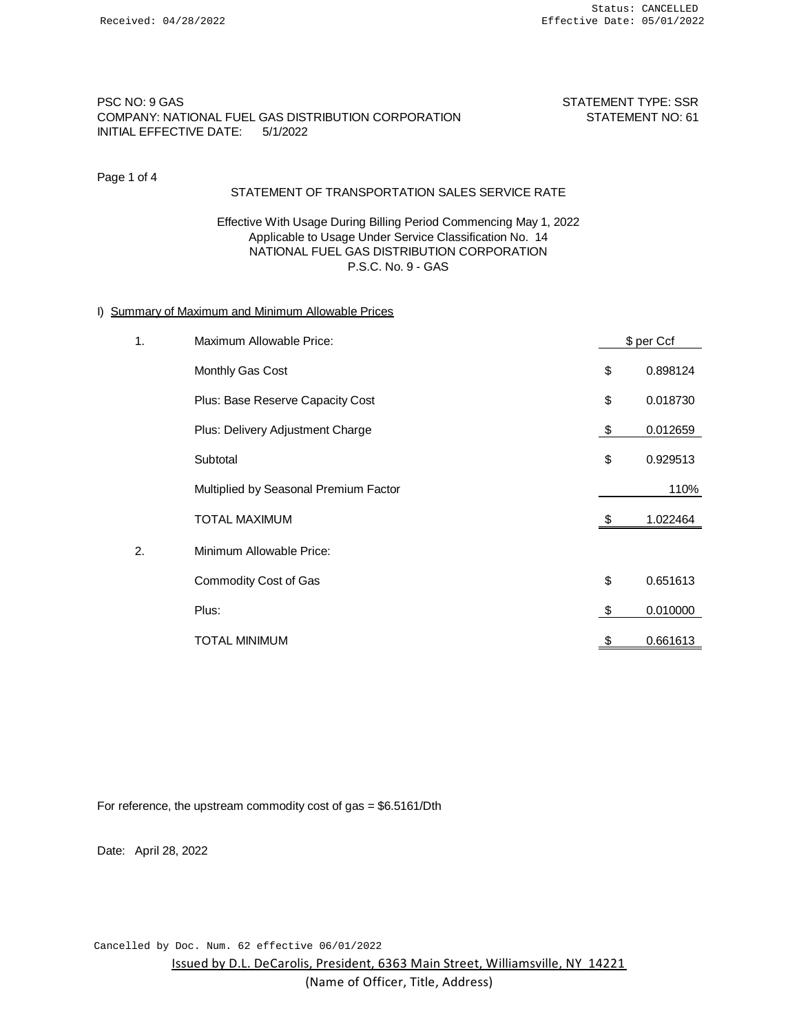# PSC NO: 9 GAS STATEMENT TYPE: SSR COMPANY: NATIONAL FUEL GAS DISTRIBUTION CORPORATION STATEMENT NO: 61 INITIAL EFFECTIVE DATE: 5/1/2022

Page 1 of 4

## STATEMENT OF TRANSPORTATION SALES SERVICE RATE

Effective With Usage During Billing Period Commencing May 1, 2022 Applicable to Usage Under Service Classification No. 14 NATIONAL FUEL GAS DISTRIBUTION CORPORATION P.S.C. No. 9 - GAS

## I) Summary of Maximum and Minimum Allowable Prices

| 1. | Maximum Allowable Price:              |     | \$ per Ccf |
|----|---------------------------------------|-----|------------|
|    | Monthly Gas Cost                      | \$  | 0.898124   |
|    | Plus: Base Reserve Capacity Cost      | \$  | 0.018730   |
|    | Plus: Delivery Adjustment Charge      | \$  | 0.012659   |
|    | Subtotal                              | \$  | 0.929513   |
|    | Multiplied by Seasonal Premium Factor |     | 110%       |
|    | <b>TOTAL MAXIMUM</b>                  | \$  | 1.022464   |
| 2. | Minimum Allowable Price:              |     |            |
|    | Commodity Cost of Gas                 | \$  | 0.651613   |
|    | Plus:                                 | -\$ | 0.010000   |
|    | TOTAL MINIMUM                         | \$  | 0.661613   |

For reference, the upstream commodity cost of gas = \$6.5161/Dth

Date: April 28, 2022

Issued by D.L. DeCarolis, President, 6363 Main Street, Williamsville, NY 14221 (Name of Officer, Title, Address) Cancelled by Doc. Num. 62 effective 06/01/2022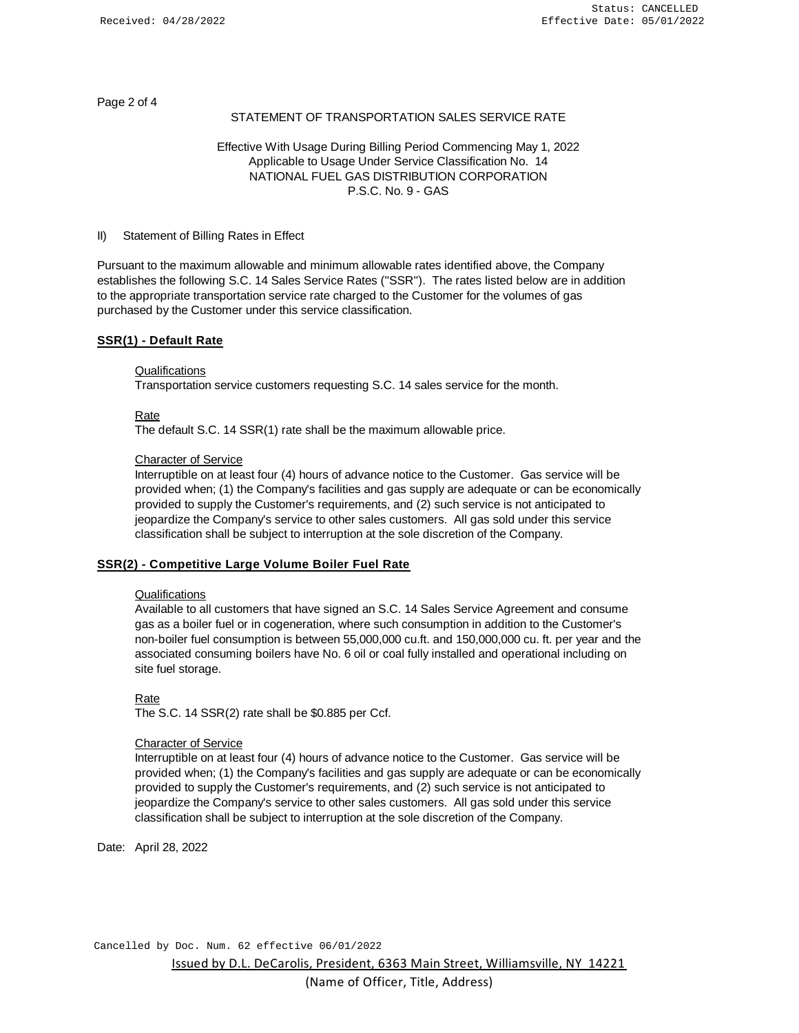Page 2 of 4

## STATEMENT OF TRANSPORTATION SALES SERVICE RATE

# Effective With Usage During Billing Period Commencing May 1, 2022 Applicable to Usage Under Service Classification No. 14 NATIONAL FUEL GAS DISTRIBUTION CORPORATION P.S.C. No. 9 - GAS

#### II) Statement of Billing Rates in Effect

Pursuant to the maximum allowable and minimum allowable rates identified above, the Company establishes the following S.C. 14 Sales Service Rates (''SSR''). The rates listed below are in addition to the appropriate transportation service rate charged to the Customer for the volumes of gas purchased by the Customer under this service classification.

## **SSR(1) - Default Rate**

#### **Qualifications**

Transportation service customers requesting S.C. 14 sales service for the month.

#### Rate

The default S.C. 14 SSR(1) rate shall be the maximum allowable price.

## Character of Service

Interruptible on at least four (4) hours of advance notice to the Customer. Gas service will be provided when; (1) the Company's facilities and gas supply are adequate or can be economically provided to supply the Customer's requirements, and (2) such service is not anticipated to jeopardize the Company's service to other sales customers. All gas sold under this service classification shall be subject to interruption at the sole discretion of the Company.

## **SSR(2) - Competitive Large Volume Boiler Fuel Rate**

#### Qualifications

Available to all customers that have signed an S.C. 14 Sales Service Agreement and consume gas as a boiler fuel or in cogeneration, where such consumption in addition to the Customer's non-boiler fuel consumption is between 55,000,000 cu.ft. and 150,000,000 cu. ft. per year and the associated consuming boilers have No. 6 oil or coal fully installed and operational including on site fuel storage.

Rate

The S.C. 14 SSR(2) rate shall be \$0.885 per Ccf.

#### Character of Service

Interruptible on at least four (4) hours of advance notice to the Customer. Gas service will be provided when; (1) the Company's facilities and gas supply are adequate or can be economically provided to supply the Customer's requirements, and (2) such service is not anticipated to jeopardize the Company's service to other sales customers. All gas sold under this service classification shall be subject to interruption at the sole discretion of the Company.

Date: April 28, 2022

Issued by D.L. DeCarolis, President, 6363 Main Street, Williamsville, NY 14221 Cancelled by Doc. Num. 62 effective 06/01/2022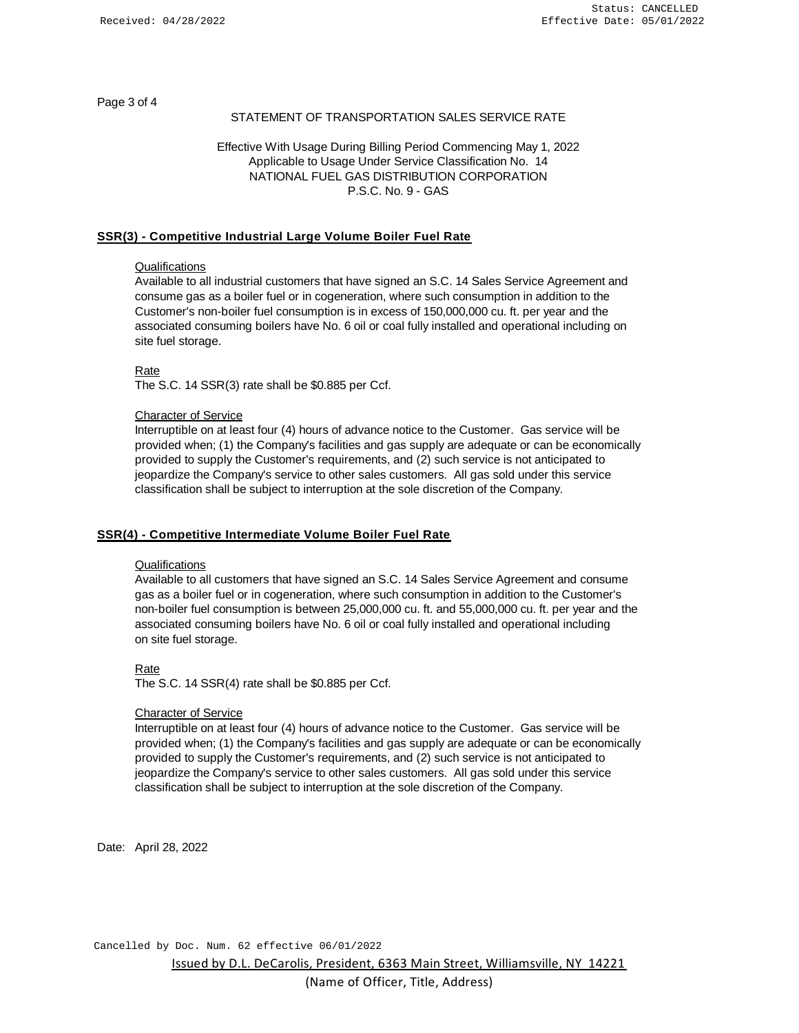Page 3 of 4

## STATEMENT OF TRANSPORTATION SALES SERVICE RATE

# Effective With Usage During Billing Period Commencing May 1, 2022 Applicable to Usage Under Service Classification No. 14 NATIONAL FUEL GAS DISTRIBUTION CORPORATION P.S.C. No. 9 - GAS

## **SSR(3) - Competitive Industrial Large Volume Boiler Fuel Rate**

#### **Qualifications**

Available to all industrial customers that have signed an S.C. 14 Sales Service Agreement and consume gas as a boiler fuel or in cogeneration, where such consumption in addition to the Customer's non-boiler fuel consumption is in excess of 150,000,000 cu. ft. per year and the associated consuming boilers have No. 6 oil or coal fully installed and operational including on site fuel storage.

Rate

The S.C. 14 SSR(3) rate shall be \$0.885 per Ccf.

#### Character of Service

Interruptible on at least four (4) hours of advance notice to the Customer. Gas service will be provided when; (1) the Company's facilities and gas supply are adequate or can be economically provided to supply the Customer's requirements, and (2) such service is not anticipated to jeopardize the Company's service to other sales customers. All gas sold under this service classification shall be subject to interruption at the sole discretion of the Company.

## **SSR(4) - Competitive Intermediate Volume Boiler Fuel Rate**

## **Qualifications**

Available to all customers that have signed an S.C. 14 Sales Service Agreement and consume gas as a boiler fuel or in cogeneration, where such consumption in addition to the Customer's non-boiler fuel consumption is between 25,000,000 cu. ft. and 55,000,000 cu. ft. per year and the associated consuming boilers have No. 6 oil or coal fully installed and operational including on site fuel storage.

#### Rate

The S.C. 14 SSR(4) rate shall be \$0.885 per Ccf.

#### Character of Service

Interruptible on at least four (4) hours of advance notice to the Customer. Gas service will be provided when; (1) the Company's facilities and gas supply are adequate or can be economically provided to supply the Customer's requirements, and (2) such service is not anticipated to jeopardize the Company's service to other sales customers. All gas sold under this service classification shall be subject to interruption at the sole discretion of the Company.

Date: April 28, 2022

Issued by D.L. DeCarolis, President, 6363 Main Street, Williamsville, NY 14221 Cancelled by Doc. Num. 62 effective 06/01/2022